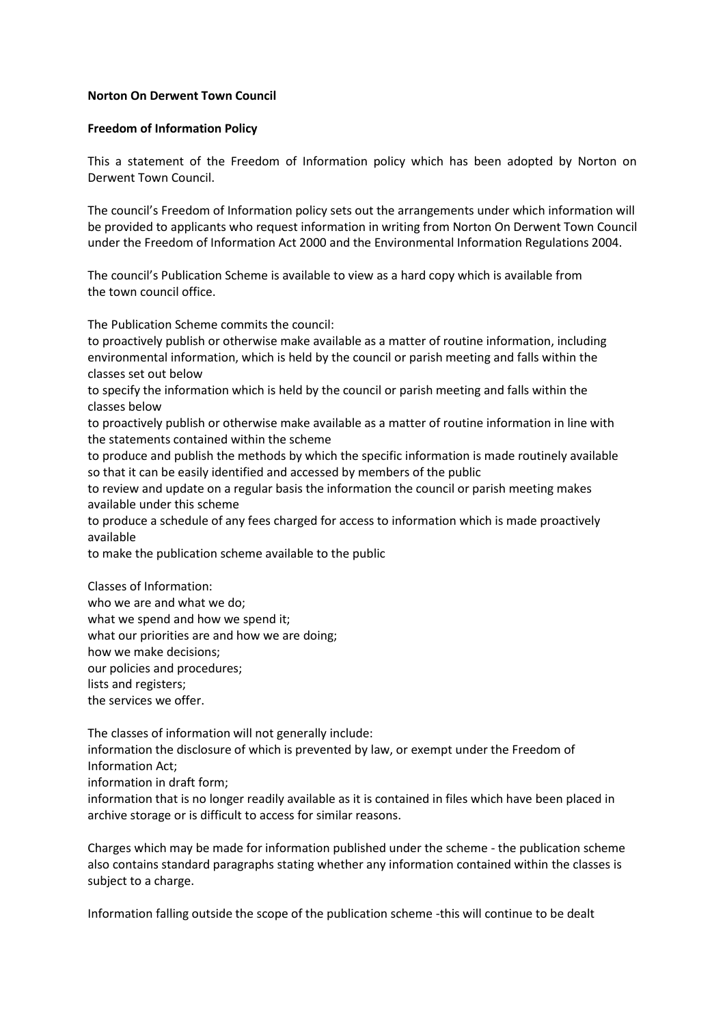## **Norton On Derwent Town Council**

## **Freedom of Information Policy**

This a statement of the Freedom of Information policy which has been adopted by Norton on Derwent Town Council.

The council's Freedom of Information policy sets out the arrangements under which information will be provided to applicants who request information in writing from Norton On Derwent Town Council under the Freedom of Information Act 2000 and the Environmental Information Regulations 2004.

The council's Publication Scheme is available to view as a hard copy which is available from the town council office.

The Publication Scheme commits the council:

to proactively publish or otherwise make available as a matter of routine information, including environmental information, which is held by the council or parish meeting and falls within the classes set out below

to specify the information which is held by the council or parish meeting and falls within the classes below

to proactively publish or otherwise make available as a matter of routine information in line with the statements contained within the scheme

to produce and publish the methods by which the specific information is made routinely available so that it can be easily identified and accessed by members of the public

to review and update on a regular basis the information the council or parish meeting makes available under this scheme

to produce a schedule of any fees charged for access to information which is made proactively available

to make the publication scheme available to the public

Classes of Information:

who we are and what we do;

what we spend and how we spend it;

what our priorities are and how we are doing;

how we make decisions;

our policies and procedures;

lists and registers;

the services we offer.

The classes of information will not generally include:

information the disclosure of which is prevented by law, or exempt under the Freedom of Information Act;

information in draft form;

information that is no longer readily available as it is contained in files which have been placed in archive storage or is difficult to access for similar reasons.

Charges which may be made for information published under the scheme - the publication scheme also contains standard paragraphs stating whether any information contained within the classes is subject to a charge.

Information falling outside the scope of the publication scheme -this will continue to be dealt